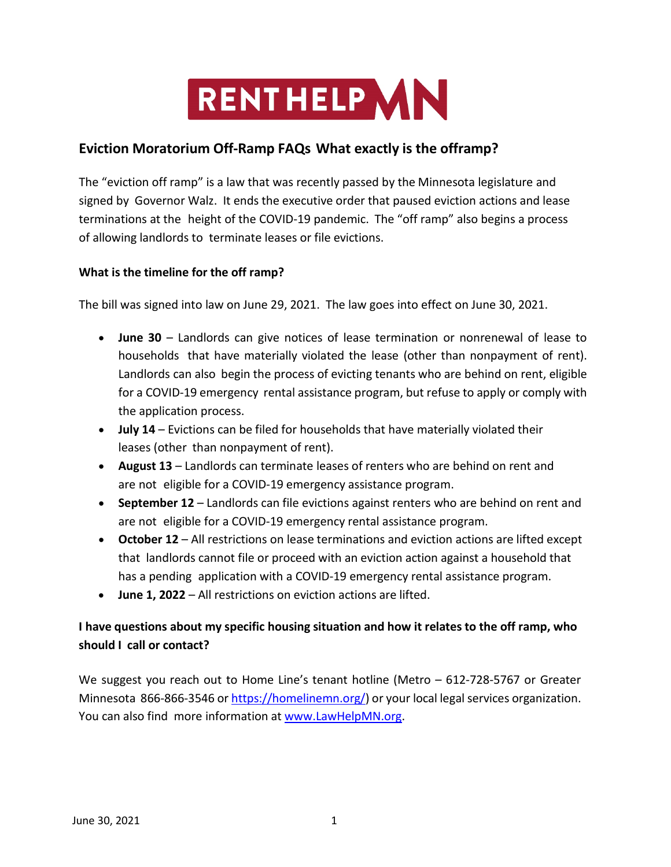

# **Eviction Moratorium Off-Ramp FAQs What exactly is the offramp?**

The "eviction off ramp" is a law that was recently passed by the Minnesota legislature and signed by Governor Walz. It ends the executive order that paused eviction actions and lease terminations at the height of the COVID-19 pandemic. The "off ramp" also begins a process of allowing landlords to terminate leases or file evictions.

### **What is the timeline for the off ramp?**

The bill was signed into law on June 29, 2021. The law goes into effect on June 30, 2021.

- **June 30** Landlords can give notices of lease termination or nonrenewal of lease to households that have materially violated the lease (other than nonpayment of rent). Landlords can also begin the process of evicting tenants who are behind on rent, eligible for a COVID-19 emergency rental assistance program, but refuse to apply or comply with the application process.
- **July 14**  Evictions can be filed for households that have materially violated their leases (other than nonpayment of rent).
- **August 13**  Landlords can terminate leases of renters who are behind on rent and are not eligible for a COVID-19 emergency assistance program.
- **September 12**  Landlords can file evictions against renters who are behind on rent and are not eligible for a COVID-19 emergency rental assistance program.
- **October 12**  All restrictions on lease terminations and eviction actions are lifted except that landlords cannot file or proceed with an eviction action against a household that has a pending application with a COVID-19 emergency rental assistance program.
- **June 1, 2022** All restrictions on eviction actions are lifted.

# **I have questions about my specific housing situation and how it relates to the off ramp, who should I call or contact?**

We suggest you reach out to Home Line's tenant hotline (Metro - 612-728-5767 or Greater Minnesota 866-866-3546 or [https://homelinemn.org/\)](https://homelinemn.org/) or your local legal services organization. You can also find more information a[t www.LawHelpMN.org.](http://www.lawhelpmn.org/)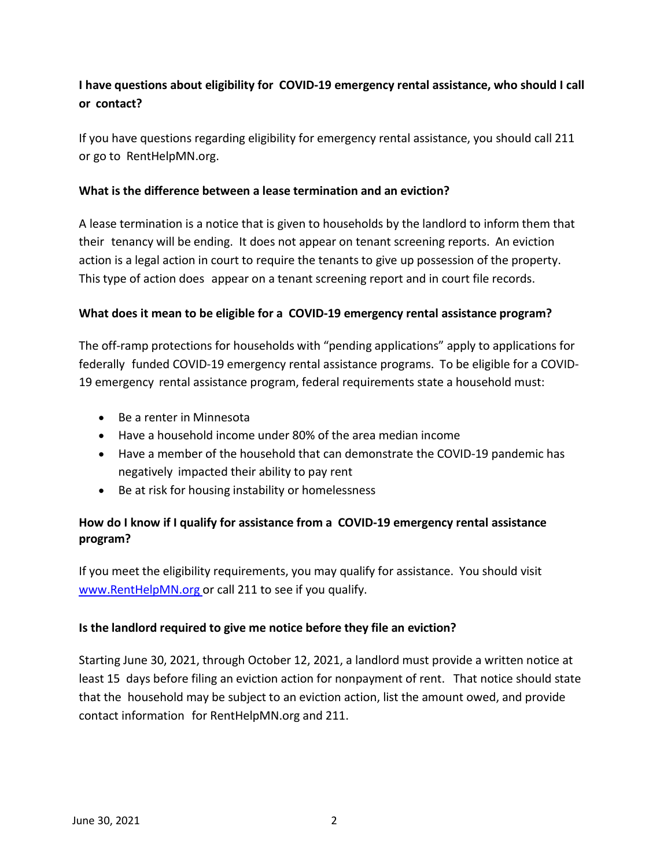# **I have questions about eligibility for COVID-19 emergency rental assistance, who should I call or contact?**

If you have questions regarding eligibility for emergency rental assistance, you should call 211 or go to RentHelpMN.org.

### **What is the difference between a lease termination and an eviction?**

A lease termination is a notice that is given to households by the landlord to inform them that their tenancy will be ending. It does not appear on tenant screening reports. An eviction action is a legal action in court to require the tenants to give up possession of the property. This type of action does appear on a tenant screening report and in court file records.

### **What does it mean to be eligible for a COVID-19 emergency rental assistance program?**

The off-ramp protections for households with "pending applications" apply to applications for federally funded COVID-19 emergency rental assistance programs. To be eligible for a COVID-19 emergency rental assistance program, federal requirements state a household must:

- Be a renter in Minnesota
- Have a household income under 80% of the area median income
- Have a member of the household that can demonstrate the COVID-19 pandemic has negatively impacted their ability to pay rent
- Be at risk for housing instability or homelessness

### **How do I know if I qualify for assistance from a COVID-19 emergency rental assistance program?**

If you meet the eligibility requirements, you may qualify for assistance. You should visit [www.RentHelpMN.org](http://www.renthelpmn.org/) or call 211 to see if you qualify.

#### **Is the landlord required to give me notice before they file an eviction?**

Starting June 30, 2021, through October 12, 2021, a landlord must provide a written notice at least 15 days before filing an eviction action for nonpayment of rent. That notice should state that the household may be subject to an eviction action, list the amount owed, and provide contact information for RentHelpMN.org and 211.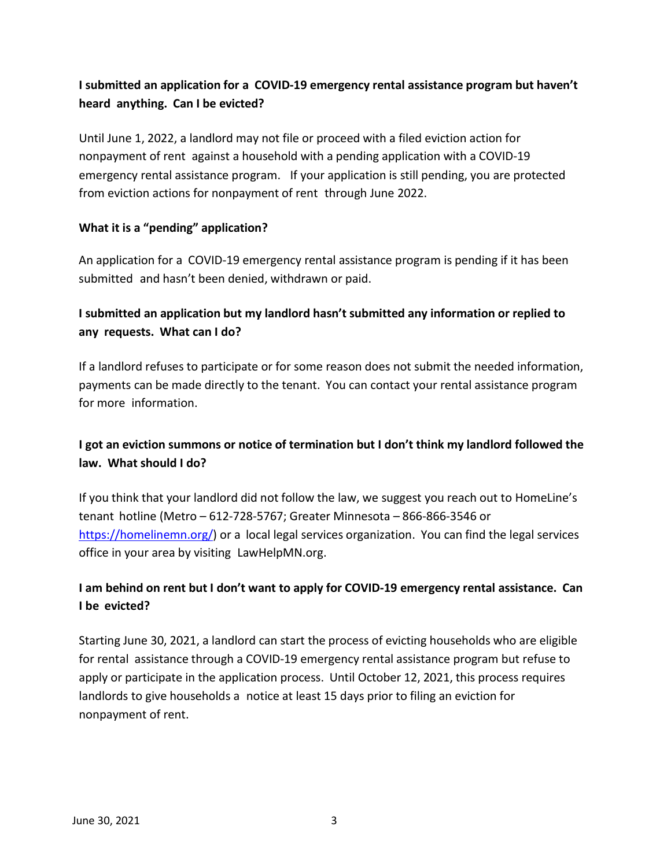# **I submitted an application for a COVID-19 emergency rental assistance program but haven't heard anything. Can I be evicted?**

Until June 1, 2022, a landlord may not file or proceed with a filed eviction action for nonpayment of rent against a household with a pending application with a COVID-19 emergency rental assistance program. If your application is still pending, you are protected from eviction actions for nonpayment of rent through June 2022.

### **What it is a "pending" application?**

An application for a COVID-19 emergency rental assistance program is pending if it has been submitted and hasn't been denied, withdrawn or paid.

# **I submitted an application but my landlord hasn't submitted any information or replied to any requests. What can I do?**

If a landlord refuses to participate or for some reason does not submit the needed information, payments can be made directly to the tenant. You can contact your rental assistance program for more information.

# **I got an eviction summons or notice of termination but I don't think my landlord followed the law. What should I do?**

If you think that your landlord did not follow the law, we suggest you reach out to HomeLine's tenant hotline (Metro – 612-728-5767; Greater Minnesota – 866-866-3546 or [https://homelinemn.org/\)](https://homelinemn.org/) or a local legal services organization. You can find the legal services office in your area by visiting LawHelpMN.org.

# **I am behind on rent but I don't want to apply for COVID-19 emergency rental assistance. Can I be evicted?**

Starting June 30, 2021, a landlord can start the process of evicting households who are eligible for rental assistance through a COVID-19 emergency rental assistance program but refuse to apply or participate in the application process. Until October 12, 2021, this process requires landlords to give households a notice at least 15 days prior to filing an eviction for nonpayment of rent.